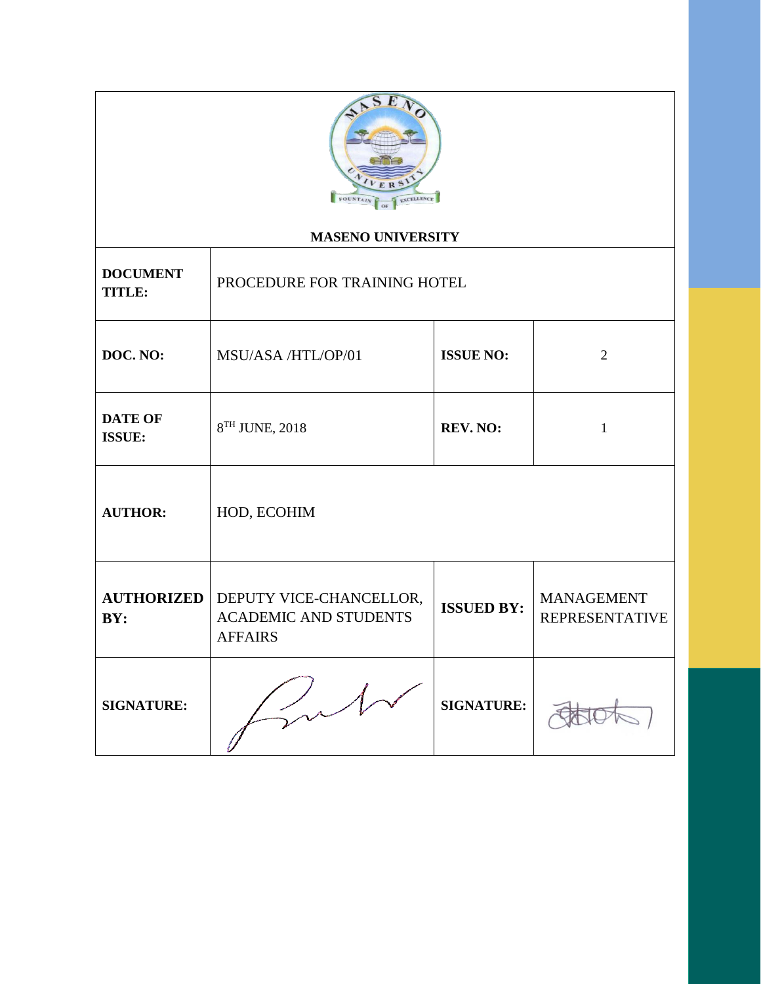

## **MASENO UNIVERSITY**

| <b>DOCUMENT</b><br>TITLE: | PROCEDURE FOR TRAINING HOTEL                                              |                   |                                            |
|---------------------------|---------------------------------------------------------------------------|-------------------|--------------------------------------------|
| DOC. NO:                  | MSU/ASA /HTL/OP/01                                                        | <b>ISSUE NO:</b>  | $\overline{2}$                             |
| <b>DATE OF</b><br>ISSUE:  | 8TH JUNE, 2018                                                            | <b>REV. NO:</b>   | $\mathbf{1}$                               |
| <b>AUTHOR:</b>            | HOD, ECOHIM                                                               |                   |                                            |
| <b>AUTHORIZED</b><br>BY:  | DEPUTY VICE-CHANCELLOR,<br><b>ACADEMIC AND STUDENTS</b><br><b>AFFAIRS</b> | <b>ISSUED BY:</b> | <b>MANAGEMENT</b><br><b>REPRESENTATIVE</b> |
| <b>SIGNATURE:</b>         |                                                                           | <b>SIGNATURE:</b> |                                            |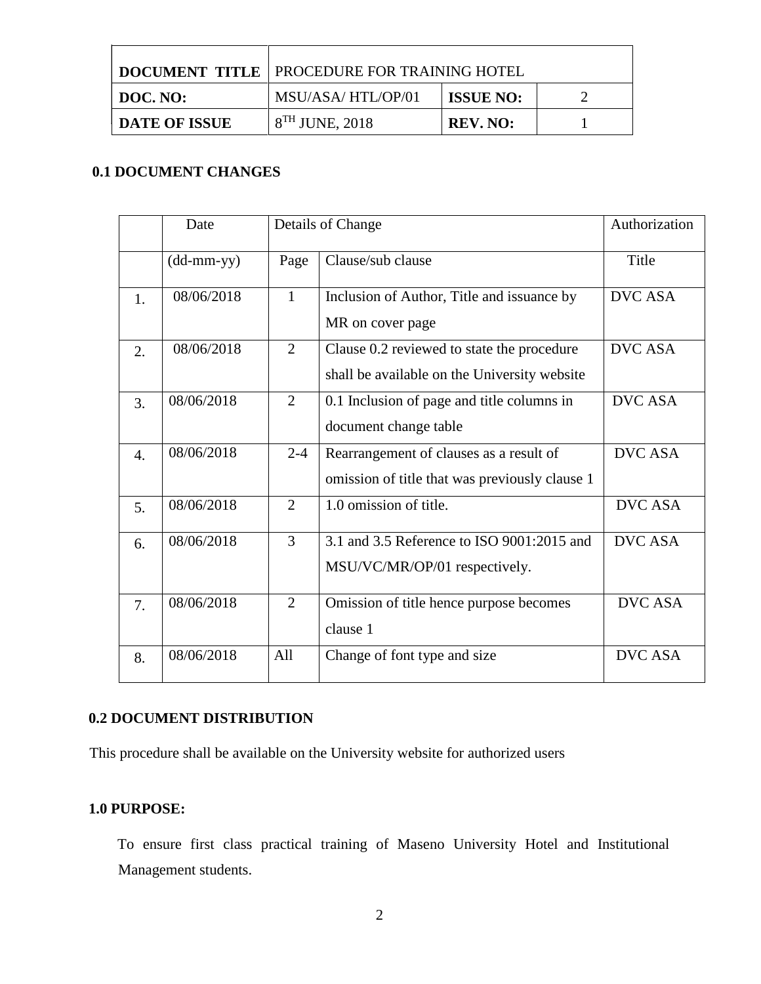|                      | <b>DOCUMENT TITLE   PROCEDURE FOR TRAINING HOTEL</b> |                  |  |
|----------------------|------------------------------------------------------|------------------|--|
| DOC. NO:             | MSU/ASA/HTL/OP/01                                    | <b>ISSUE NO:</b> |  |
| <b>DATE OF ISSUE</b> | $8TH$ JUNE, 2018                                     | REV. NO:         |  |

# **0.1 DOCUMENT CHANGES**

|    | Date         |                | Details of Change                                                                          | Authorization  |
|----|--------------|----------------|--------------------------------------------------------------------------------------------|----------------|
|    | $(dd-mm-yy)$ | Page           | Clause/sub clause                                                                          | Title          |
| 1. | 08/06/2018   | $\mathbf{1}$   | Inclusion of Author, Title and issuance by<br>MR on cover page                             | <b>DVC ASA</b> |
| 2. | 08/06/2018   | $\overline{2}$ | Clause 0.2 reviewed to state the procedure<br>shall be available on the University website | <b>DVC ASA</b> |
| 3. | 08/06/2018   | $\overline{2}$ | 0.1 Inclusion of page and title columns in<br>document change table                        | <b>DVC ASA</b> |
| 4. | 08/06/2018   | $2 - 4$        | Rearrangement of clauses as a result of<br>omission of title that was previously clause 1  | <b>DVC ASA</b> |
| 5. | 08/06/2018   | $\overline{2}$ | 1.0 omission of title.                                                                     | <b>DVC ASA</b> |
| 6. | 08/06/2018   | 3              | 3.1 and 3.5 Reference to ISO 9001:2015 and<br>MSU/VC/MR/OP/01 respectively.                | <b>DVC ASA</b> |
| 7. | 08/06/2018   | $\overline{2}$ | Omission of title hence purpose becomes<br>clause 1                                        | <b>DVC ASA</b> |
| 8. | 08/06/2018   | All            | Change of font type and size                                                               | <b>DVC ASA</b> |

# **0.2 DOCUMENT DISTRIBUTION**

This procedure shall be available on the University website for authorized users

## **1.0 PURPOSE:**

To ensure first class practical training of Maseno University Hotel and Institutional Management students.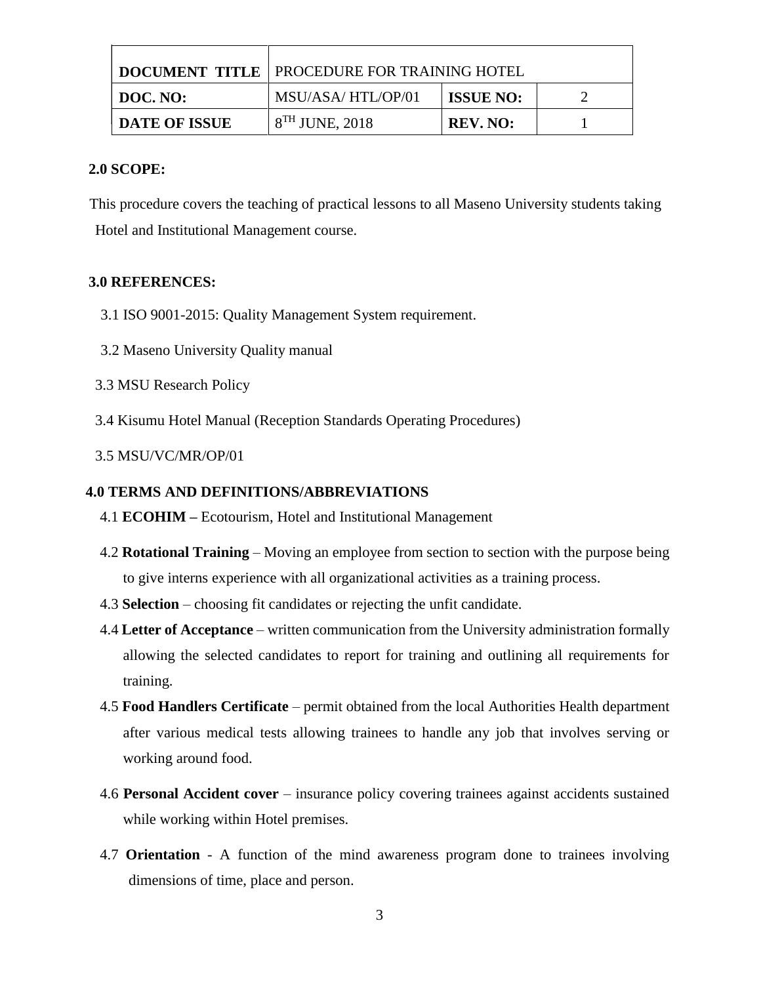|                      | <b>DOCUMENT TITLE   PROCEDURE FOR TRAINING HOTEL</b> |                  |  |
|----------------------|------------------------------------------------------|------------------|--|
| DOC. NO:             | MSU/ASA/HTL/OP/01                                    | <b>ISSUE NO:</b> |  |
| <b>DATE OF ISSUE</b> | $8TH$ JUNE, 2018                                     | <b>REV. NO:</b>  |  |

#### **2.0 SCOPE:**

This procedure covers the teaching of practical lessons to all Maseno University students taking Hotel and Institutional Management course.

### **3.0 REFERENCES:**

- 3.1 ISO 9001-2015: Quality Management System requirement.
- 3.2 Maseno University Quality manual
- 3.3 MSU Research Policy
- 3.4 Kisumu Hotel Manual (Reception Standards Operating Procedures)
- 3.5 MSU/VC/MR/OP/01

### **4.0 TERMS AND DEFINITIONS/ABBREVIATIONS**

- 4.1 **ECOHIM –** Ecotourism, Hotel and Institutional Management
- 4.2 **Rotational Training**  Moving an employee from section to section with the purpose being to give interns experience with all organizational activities as a training process.
- 4.3 **Selection** choosing fit candidates or rejecting the unfit candidate.
- 4.4 **Letter of Acceptance** written communication from the University administration formally allowing the selected candidates to report for training and outlining all requirements for training.
- 4.5 **Food Handlers Certificate** permit obtained from the local Authorities Health department after various medical tests allowing trainees to handle any job that involves serving or working around food.
- 4.6 **Personal Accident cover** insurance policy covering trainees against accidents sustained while working within Hotel premises.
- 4.7 **Orientation**  A function of the mind awareness program done to trainees involving dimensions of time, place and person.